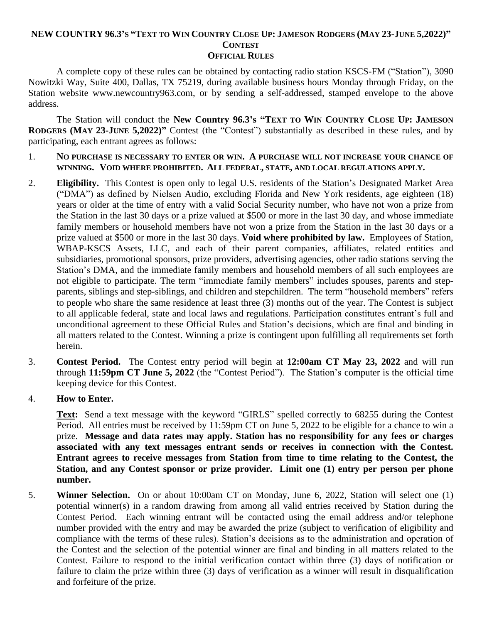# NEW COUNTRY 96.3's "TEXT TO WIN COUNTRY CLOSE UP: JAMESON RODGERS (MAY 23-JUNE 5,2022)" **CONTEST**

#### **OFFICIAL RULES**

A complete copy of these rules can be obtained by contacting radio station KSCS-FM ("Station"), 3090 Nowitzki Way, Suite 400, Dallas, TX 75219, during available business hours Monday through Friday, on the Station website www.newcountry963.com, or by sending a self-addressed, stamped envelope to the above address.

The Station will conduct the **New Country 96.3's "TEXT TO WIN COUNTRY CLOSE UP: JAMESON RODGERS (MAY 23-JUNE 5,2022)"** Contest (the "Contest") substantially as described in these rules, and by participating, each entrant agrees as follows:

- 1. **NO PURCHASE IS NECESSARY TO ENTER OR WIN. A PURCHASE WILL NOT INCREASE YOUR CHANCE OF WINNING. VOID WHERE PROHIBITED. ALL FEDERAL, STATE, AND LOCAL REGULATIONS APPLY.**
- 2. **Eligibility.** This Contest is open only to legal U.S. residents of the Station's Designated Market Area ("DMA") as defined by Nielsen Audio, excluding Florida and New York residents, age eighteen (18) years or older at the time of entry with a valid Social Security number, who have not won a prize from the Station in the last 30 days or a prize valued at \$500 or more in the last 30 day, and whose immediate family members or household members have not won a prize from the Station in the last 30 days or a prize valued at \$500 or more in the last 30 days. **Void where prohibited by law.** Employees of Station, WBAP-KSCS Assets, LLC, and each of their parent companies, affiliates, related entities and subsidiaries, promotional sponsors, prize providers, advertising agencies, other radio stations serving the Station's DMA, and the immediate family members and household members of all such employees are not eligible to participate. The term "immediate family members" includes spouses, parents and stepparents, siblings and step-siblings, and children and stepchildren. The term "household members" refers to people who share the same residence at least three (3) months out of the year. The Contest is subject to all applicable federal, state and local laws and regulations. Participation constitutes entrant's full and unconditional agreement to these Official Rules and Station's decisions, which are final and binding in all matters related to the Contest. Winning a prize is contingent upon fulfilling all requirements set forth herein.
- 3. **Contest Period.** The Contest entry period will begin at **12:00am CT May 23, 2022** and will run through **11:59pm CT June 5, 2022** (the "Contest Period"). The Station's computer is the official time keeping device for this Contest.
- 4. **How to Enter.**

**Text:** Send a text message with the keyword "GIRLS" spelled correctly to 68255 during the Contest Period. All entries must be received by 11:59pm CT on June 5, 2022 to be eligible for a chance to win a prize. **Message and data rates may apply. Station has no responsibility for any fees or charges associated with any text messages entrant sends or receives in connection with the Contest. Entrant agrees to receive messages from Station from time to time relating to the Contest, the Station, and any Contest sponsor or prize provider. Limit one (1) entry per person per phone number.**

5. **Winner Selection.** On or about 10:00am CT on Monday, June 6, 2022, Station will select one (1) potential winner(s) in a random drawing from among all valid entries received by Station during the Contest Period. Each winning entrant will be contacted using the email address and/or telephone number provided with the entry and may be awarded the prize (subject to verification of eligibility and compliance with the terms of these rules). Station's decisions as to the administration and operation of the Contest and the selection of the potential winner are final and binding in all matters related to the Contest. Failure to respond to the initial verification contact within three (3) days of notification or failure to claim the prize within three (3) days of verification as a winner will result in disqualification and forfeiture of the prize.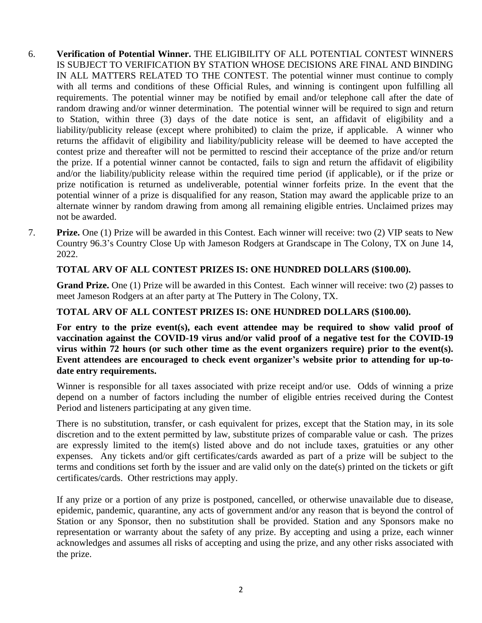- 6. **Verification of Potential Winner.** THE ELIGIBILITY OF ALL POTENTIAL CONTEST WINNERS IS SUBJECT TO VERIFICATION BY STATION WHOSE DECISIONS ARE FINAL AND BINDING IN ALL MATTERS RELATED TO THE CONTEST. The potential winner must continue to comply with all terms and conditions of these Official Rules, and winning is contingent upon fulfilling all requirements. The potential winner may be notified by email and/or telephone call after the date of random drawing and/or winner determination. The potential winner will be required to sign and return to Station, within three (3) days of the date notice is sent, an affidavit of eligibility and a liability/publicity release (except where prohibited) to claim the prize, if applicable. A winner who returns the affidavit of eligibility and liability/publicity release will be deemed to have accepted the contest prize and thereafter will not be permitted to rescind their acceptance of the prize and/or return the prize. If a potential winner cannot be contacted, fails to sign and return the affidavit of eligibility and/or the liability/publicity release within the required time period (if applicable), or if the prize or prize notification is returned as undeliverable, potential winner forfeits prize. In the event that the potential winner of a prize is disqualified for any reason, Station may award the applicable prize to an alternate winner by random drawing from among all remaining eligible entries. Unclaimed prizes may not be awarded.
- 7. **Prize.** One (1) Prize will be awarded in this Contest. Each winner will receive: two (2) VIP seats to New Country 96.3's Country Close Up with Jameson Rodgers at Grandscape in The Colony, TX on June 14, 2022.

# **TOTAL ARV OF ALL CONTEST PRIZES IS: ONE HUNDRED DOLLARS (\$100.00).**

**Grand Prize.** One (1) Prize will be awarded in this Contest. Each winner will receive: two (2) passes to meet Jameson Rodgers at an after party at The Puttery in The Colony, TX.

## **TOTAL ARV OF ALL CONTEST PRIZES IS: ONE HUNDRED DOLLARS (\$100.00).**

**For entry to the prize event(s), each event attendee may be required to show valid proof of vaccination against the COVID-19 virus and/or valid proof of a negative test for the COVID-19 virus within 72 hours (or such other time as the event organizers require) prior to the event(s). Event attendees are encouraged to check event organizer's website prior to attending for up-todate entry requirements.**

Winner is responsible for all taxes associated with prize receipt and/or use. Odds of winning a prize depend on a number of factors including the number of eligible entries received during the Contest Period and listeners participating at any given time.

There is no substitution, transfer, or cash equivalent for prizes, except that the Station may, in its sole discretion and to the extent permitted by law, substitute prizes of comparable value or cash. The prizes are expressly limited to the item(s) listed above and do not include taxes, gratuities or any other expenses. Any tickets and/or gift certificates/cards awarded as part of a prize will be subject to the terms and conditions set forth by the issuer and are valid only on the date(s) printed on the tickets or gift certificates/cards. Other restrictions may apply.

If any prize or a portion of any prize is postponed, cancelled, or otherwise unavailable due to disease, epidemic, pandemic, quarantine, any acts of government and/or any reason that is beyond the control of Station or any Sponsor, then no substitution shall be provided. Station and any Sponsors make no representation or warranty about the safety of any prize. By accepting and using a prize, each winner acknowledges and assumes all risks of accepting and using the prize, and any other risks associated with the prize.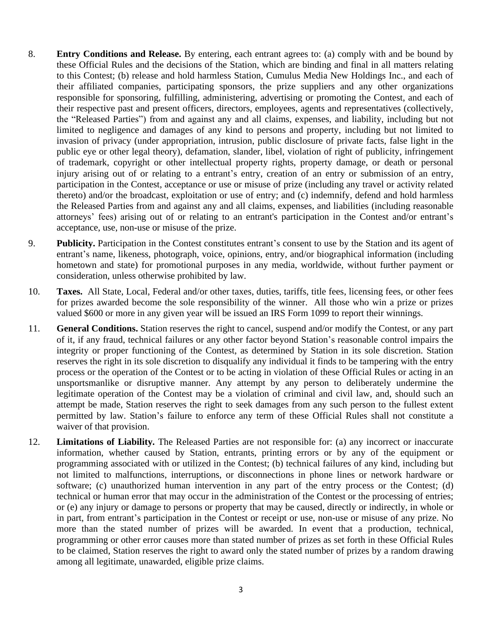- 8. **Entry Conditions and Release.** By entering, each entrant agrees to: (a) comply with and be bound by these Official Rules and the decisions of the Station, which are binding and final in all matters relating to this Contest; (b) release and hold harmless Station, Cumulus Media New Holdings Inc., and each of their affiliated companies, participating sponsors, the prize suppliers and any other organizations responsible for sponsoring, fulfilling, administering, advertising or promoting the Contest, and each of their respective past and present officers, directors, employees, agents and representatives (collectively, the "Released Parties") from and against any and all claims, expenses, and liability, including but not limited to negligence and damages of any kind to persons and property, including but not limited to invasion of privacy (under appropriation, intrusion, public disclosure of private facts, false light in the public eye or other legal theory), defamation, slander, libel, violation of right of publicity, infringement of trademark, copyright or other intellectual property rights, property damage, or death or personal injury arising out of or relating to a entrant's entry, creation of an entry or submission of an entry, participation in the Contest, acceptance or use or misuse of prize (including any travel or activity related thereto) and/or the broadcast, exploitation or use of entry; and (c) indemnify, defend and hold harmless the Released Parties from and against any and all claims, expenses, and liabilities (including reasonable attorneys' fees) arising out of or relating to an entrant's participation in the Contest and/or entrant's acceptance, use, non-use or misuse of the prize.
- 9. **Publicity.** Participation in the Contest constitutes entrant's consent to use by the Station and its agent of entrant's name, likeness, photograph, voice, opinions, entry, and/or biographical information (including hometown and state) for promotional purposes in any media, worldwide, without further payment or consideration, unless otherwise prohibited by law.
- 10. **Taxes.** All State, Local, Federal and/or other taxes, duties, tariffs, title fees, licensing fees, or other fees for prizes awarded become the sole responsibility of the winner. All those who win a prize or prizes valued \$600 or more in any given year will be issued an IRS Form 1099 to report their winnings.
- 11. **General Conditions.** Station reserves the right to cancel, suspend and/or modify the Contest, or any part of it, if any fraud, technical failures or any other factor beyond Station's reasonable control impairs the integrity or proper functioning of the Contest, as determined by Station in its sole discretion. Station reserves the right in its sole discretion to disqualify any individual it finds to be tampering with the entry process or the operation of the Contest or to be acting in violation of these Official Rules or acting in an unsportsmanlike or disruptive manner. Any attempt by any person to deliberately undermine the legitimate operation of the Contest may be a violation of criminal and civil law, and, should such an attempt be made, Station reserves the right to seek damages from any such person to the fullest extent permitted by law. Station's failure to enforce any term of these Official Rules shall not constitute a waiver of that provision.
- 12. **Limitations of Liability.** The Released Parties are not responsible for: (a) any incorrect or inaccurate information, whether caused by Station, entrants, printing errors or by any of the equipment or programming associated with or utilized in the Contest; (b) technical failures of any kind, including but not limited to malfunctions, interruptions, or disconnections in phone lines or network hardware or software; (c) unauthorized human intervention in any part of the entry process or the Contest; (d) technical or human error that may occur in the administration of the Contest or the processing of entries; or (e) any injury or damage to persons or property that may be caused, directly or indirectly, in whole or in part, from entrant's participation in the Contest or receipt or use, non-use or misuse of any prize. No more than the stated number of prizes will be awarded. In event that a production, technical, programming or other error causes more than stated number of prizes as set forth in these Official Rules to be claimed, Station reserves the right to award only the stated number of prizes by a random drawing among all legitimate, unawarded, eligible prize claims.